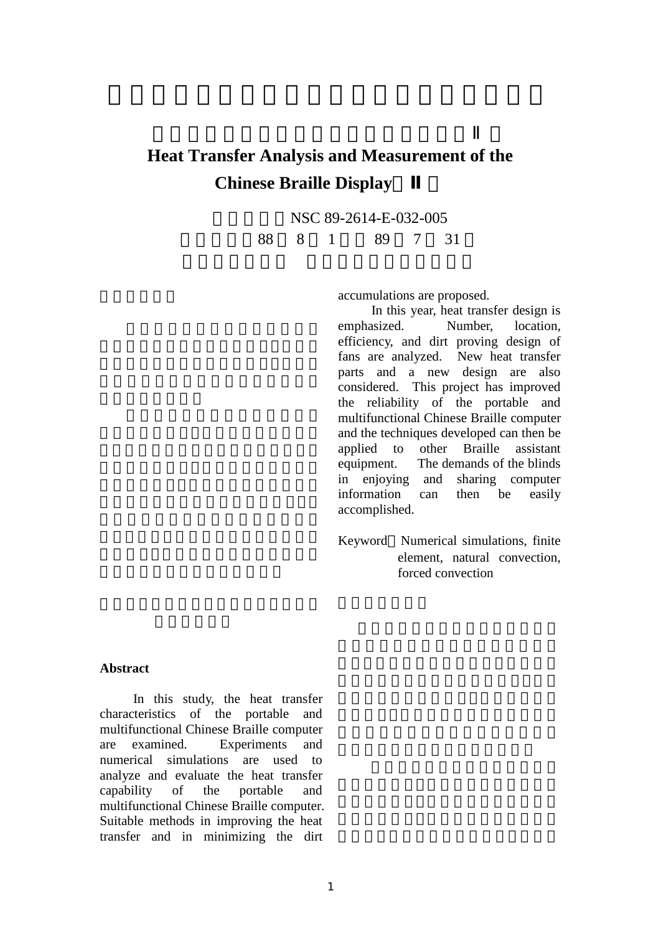## **Heat Transfer Analysis and Measurement of the Chinese Braille Display**

NSC 89-2614-E-032-005

執行期限 88 8 1 日至 89 7 31

accumulations are proposed.

 In this year, heat transfer design is emphasized. Number, location, efficiency, and dirt proving design of fans are analyzed. New heat transfer parts and a new design are also considered. This project has improved the reliability of the portable and multifunctional Chinese Braille computer and the techniques developed can then be applied to other Braille assistant equipment. The demands of the blinds in enjoying and sharing computer information can then be easily accomplished.

Keyword Numerical simulations, finite element, natural convection, forced convection

## **Abstract**

 In this study, the heat transfer characteristics of the portable and multifunctional Chinese Braille computer are examined. Experiments and numerical simulations are used to analyze and evaluate the heat transfer capability of the portable and multifunctional Chinese Braille computer. Suitable methods in improving the heat transfer and in minimizing the dirt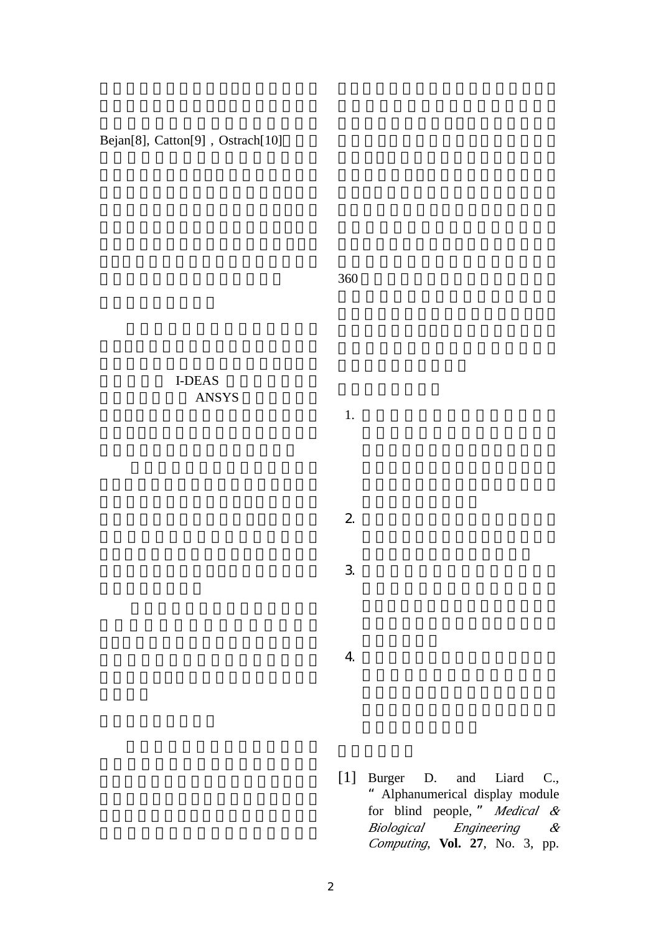Bejan[8], Catton[9], Ostrach[10]

 $360$ 

## I-DEAS ANSYS

 $1.$ 

 $2 \angle$ 

 $3.$ 

4. 為消除風扇積塵及噪音現象,而捨

[1] Burger D. and Liard C., "Alphanumerical display module for blind people, " *Medical & Biological Engineering & Computing*, **Vol. 27**, No. 3, pp.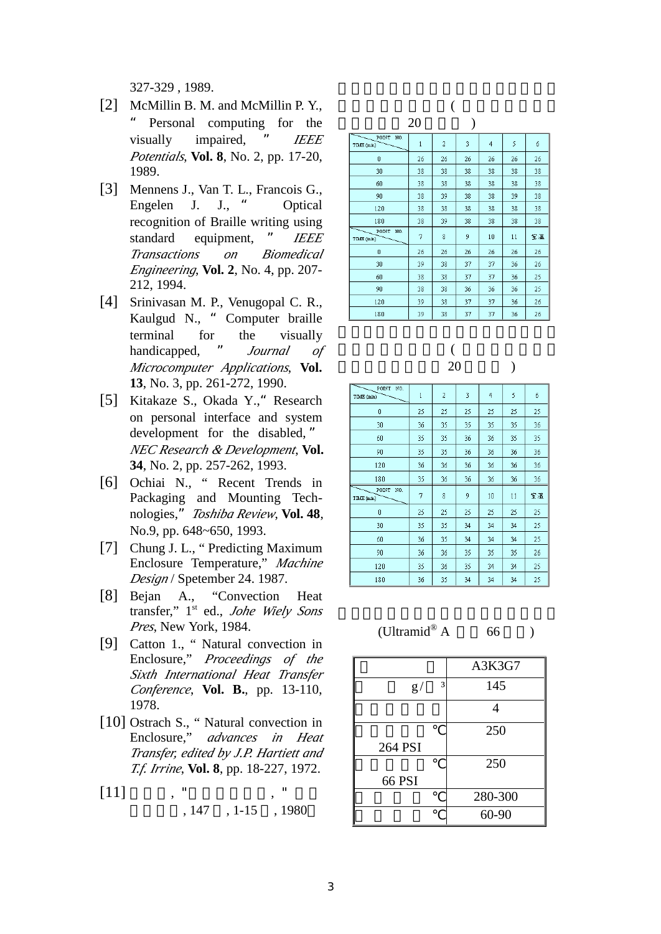327-329 , 1989.

- [2] McMillin B. M. and McMillin P. Y., Personal computing for the visually impaired, " *IEEE Potentials*, **Vol. 8**, No. 2, pp. 17-20, 1989.
- [3] Mennens J., Van T. L., Francois G., Engelen J. J., " Optical recognition of Braille writing using standard equipment, " *IEEE Transactions on Biomedical Engineering*, **Vol. 2**, No. 4, pp. 207- 212, 1994.
- [4] Srinivasan M. P., Venugopal C. R., Kaulgud N., " Computer braille terminal for the visually handicapped, " *Journal of Microcomputer Applications*, **Vol. 13**, No. 3, pp. 261-272, 1990.
- [5] Kitakaze S., Okada Y., Research on personal interface and system development for the disabled, " *NEC Research & Development*, **Vol. 34**, No. 2, pp. 257-262, 1993.
- [6] Ochiai N., " Recent Trends in Packaging and Mounting Technologies,"*Toshiba Review*, **Vol. 48**, No.9, pp. 648~650, 1993.
- [7] Chung J. L., " Predicting Maximum Enclosure Temperature," *Machine Design* / Spetember 24. 1987.
- [8] Bejan A., "Convection Heat transfer," 1st ed., *Johe Wiely Sons Pres*, New York, 1984.
- [9] Catton 1., " Natural convection in Enclosure," *Proceedings of the Sixth International Heat Transfer Conference*, **Vol. B.**, pp. 13-110, 1978.
- [10] Ostrach S., "Natural convection in Enclosure," *advances in Heat Transfer, edited by J.P. Hartiett and T.f. Irrine*, **Vol. 8**, pp. 18-227, 1972.
- $[11]$ 發展月刊, 147 , 1-15 , 1980

|                            | 20 |                |    |    |    |    |  |
|----------------------------|----|----------------|----|----|----|----|--|
| POINT<br>NO.<br>TIME (min) | 1  | $\overline{2}$ | 3  | 4  | 5  | б  |  |
| 0                          | 26 | 26             | 26 | 26 | 26 | 26 |  |
| 30                         | 38 | 38             | 38 | 38 | 38 | 38 |  |
| 60                         | 38 | 38             | 38 | 38 | 38 | 38 |  |
| 90                         | 38 | 39             | 38 | 38 | 39 | 38 |  |
| 120                        | 38 | 38             | 38 | 38 | 38 | 38 |  |
| 180                        | 38 | 39             | 38 | 38 | 38 | 38 |  |
| POINT<br>NO.<br>TIME (min) | 7  | 8              | 9  | 10 | 11 | 室温 |  |
| 0                          | 26 | 26             | 26 | 26 | 26 | 26 |  |
| 30                         | 39 | 38             | 37 | 37 | 36 | 26 |  |
| 60                         | 38 | 38             | 37 | 37 | 36 | 25 |  |
| 90                         | 38 | 38             | 36 | 36 | 36 | 25 |  |
| 120                        | 39 | 38             | 37 | 37 | 36 | 26 |  |
| 180                        | 39 | 38             | 37 | 37 | 36 | 26 |  |

## $($  $(20)$

| POINT<br>NO.<br>TIME (min) | $\mathbf{1}$ | 2  | 3  | $\overline{4}$ | 5  | б  |
|----------------------------|--------------|----|----|----------------|----|----|
| 0                          | 25           | 25 | 25 | 25             | 25 | 25 |
| 30                         | 36           | 35 | 35 | 35             | 35 | 36 |
| 60                         | 35           | 35 | 36 | 36             | 35 | 35 |
| 90                         | 35           | 35 | 36 | 36             | 36 | 36 |
| 120                        | 36           | 36 | 36 | 36             | 36 | 36 |
| 180                        | 35           | 36 | 36 | 36             | 36 | 36 |
| POINT<br>NO.<br>TIME (min) | 7            | 8  | 9  | 10             | 11 | 室溫 |
| Ō                          | 25           | 25 | 25 | 25             | 25 | 25 |
| 30                         | 35           | 35 | 34 | 34             | 34 | 25 |
| 60                         | 36           | 35 | 34 | 34             | 34 | 25 |
| 90                         | 36           | 36 | 35 | 35             | 35 | 26 |
| 120                        | 35           | 36 | 35 | 34             | 34 | 25 |
| 180                        | 36           | 35 | 34 | 34             | 34 | 25 |

 (Ultramid® 66 )

|                   | A3K3G7  |
|-------------------|---------|
| 3<br>$\mathbf{g}$ | 145     |
|                   | 4       |
|                   | 250     |
| 264 PSI           |         |
|                   | 250     |
| 66 PSI            |         |
|                   | 280-300 |
|                   | 60-90   |